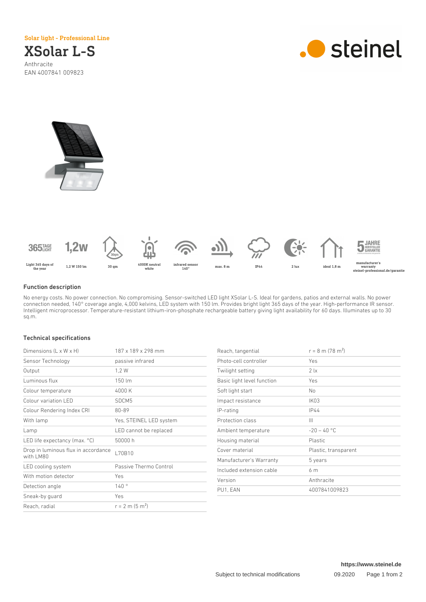Solar light - Professional Line

## XSolar L-S Anthracite EAN 4007841 009823







## Function description

No energy costs. No power connection. No compromising. Sensor-switched LED light XSolar L-S. Ideal for gardens, patios and external walls. No power connection needed, 140° coverage angle, 4,000 kelvins, LED system with 150 lm. Provides bright light 365 days of the year. High-performance IR sensor. Intelligent microprocessor. Temperature-resistant lithium-iron-phosphate rechargeable battery giving light availability for 60 days. Illuminates up to 30 sq.m.

## Technical specifications

| Dimensions (L x W x H)                           | 187 x 189 x 298 mm            |
|--------------------------------------------------|-------------------------------|
| Sensor Technology                                | passive infrared              |
| Output                                           | 1,2 W                         |
| Luminous flux                                    | 150 lm                        |
| Colour temperature                               | 4000 K                        |
| Colour variation LED                             | SDCM5                         |
| Colour Rendering Index CRI                       | 80-89                         |
| With lamp                                        | Yes, STEINEL LED system       |
| Lamp                                             | LED cannot be replaced        |
| LED life expectancy (max. $^{\circ}$ C)          | 50000 h                       |
| Drop in luminous flux in accordance<br>with LM80 | L70B10                        |
| LED cooling system                               | Passive Thermo Control        |
| With motion detector                             | Yes                           |
| Detection angle                                  | 140°                          |
| Sneak-by guard                                   | Yes                           |
| Reach, radial                                    | $r = 2$ m (5 m <sup>2</sup> ) |

| Reach, tangential          | $r = 8$ m (78 m <sup>2</sup> ) |
|----------------------------|--------------------------------|
| Photo-cell controller      | Yes                            |
| Twilight setting           | 21x                            |
| Basic light level function | Yes                            |
| Soft light start           | N <sub>o</sub>                 |
| Impact resistance          | IK03                           |
| IP-rating                  | IP44                           |
| Protection class           | Ш                              |
| Ambient temperature        | $-20 - 40$ °C                  |
| Housing material           | <b>Plastic</b>                 |
| Cover material             | Plastic, transparent           |
| Manufacturer's Warranty    | 5 years                        |
| Included extension cable   | 6 m                            |
| Version                    | Anthracite                     |
| PU1, EAN                   | 4007841009823                  |